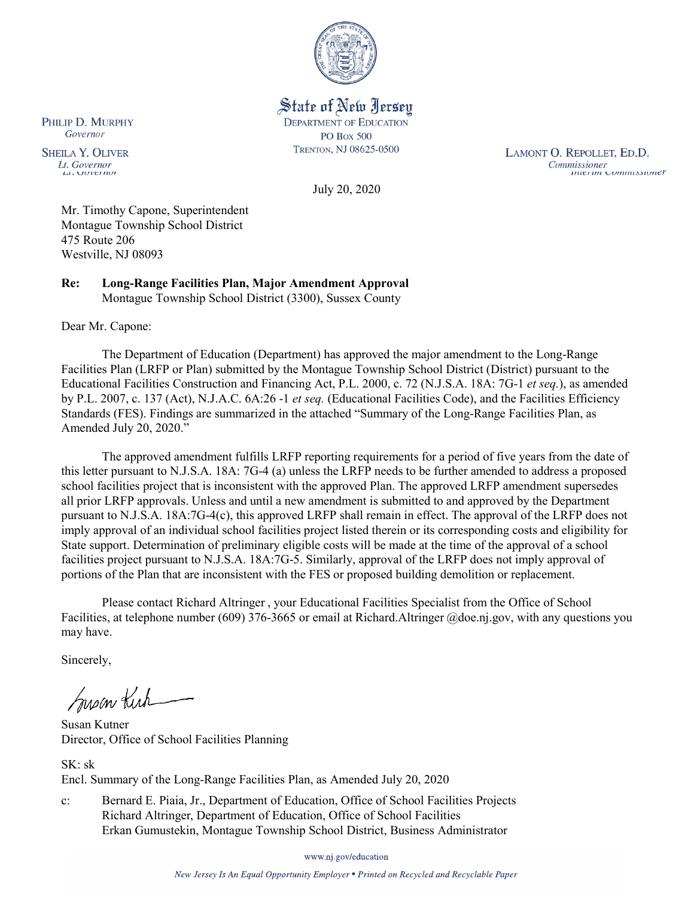

State of New Jersey **DEPARTMENT OF EDUCATION PO Box 500** TRENTON, NJ 08625-0500

LAMONT O. REPOLLET, ED.D. Commissioner<br>Thuer un Commussioner

July 20, 2020

Mr. Timothy Capone, Superintendent Montague Township School District 475 Route 206 Westville, NJ 08093

**Re: Long-Range Facilities Plan, Major Amendment Approval**  Montague Township School District (3300), Sussex County

Dear Mr. Capone:

The Department of Education (Department) has approved the major amendment to the Long-Range Facilities Plan (LRFP or Plan) submitted by the Montague Township School District (District) pursuant to the Educational Facilities Construction and Financing Act, P.L. 2000, c. 72 (N.J.S.A. 18A: 7G-1 *et seq.*), as amended by P.L. 2007, c. 137 (Act), N.J.A.C. 6A:26 -1 *et seq.* (Educational Facilities Code), and the Facilities Efficiency Standards (FES). Findings are summarized in the attached "Summary of the Long-Range Facilities Plan, as Amended July 20, 2020."

The approved amendment fulfills LRFP reporting requirements for a period of five years from the date of this letter pursuant to N.J.S.A. 18A: 7G-4 (a) unless the LRFP needs to be further amended to address a proposed school facilities project that is inconsistent with the approved Plan. The approved LRFP amendment supersedes all prior LRFP approvals. Unless and until a new amendment is submitted to and approved by the Department pursuant to N.J.S.A. 18A:7G-4(c), this approved LRFP shall remain in effect. The approval of the LRFP does not imply approval of an individual school facilities project listed therein or its corresponding costs and eligibility for State support. Determination of preliminary eligible costs will be made at the time of the approval of a school facilities project pursuant to N.J.S.A. 18A:7G-5. Similarly, approval of the LRFP does not imply approval of portions of the Plan that are inconsistent with the FES or proposed building demolition or replacement.

Please contact Richard Altringer , your Educational Facilities Specialist from the Office of School Facilities, at telephone number (609) 376-3665 or email at Richard.Altringer @doe.nj.gov, with any questions you may have.

Sincerely,

Susan Kich

Susan Kutner Director, Office of School Facilities Planning

SK: sk Encl. Summary of the Long-Range Facilities Plan, as Amended July 20, 2020

c: Bernard E. Piaia, Jr., Department of Education, Office of School Facilities Projects Richard Altringer, Department of Education, Office of School Facilities Erkan Gumustekin, Montague Township School District, Business Administrator

www.nj.gov/education

New Jersey Is An Equal Opportunity Employer . Printed on Recycled and Recyclable Paper

PHILIP D. MURPHY Governor

**SHEILA Y. OLIVER** Lt. Governor  $\mu$ . OUVET IWE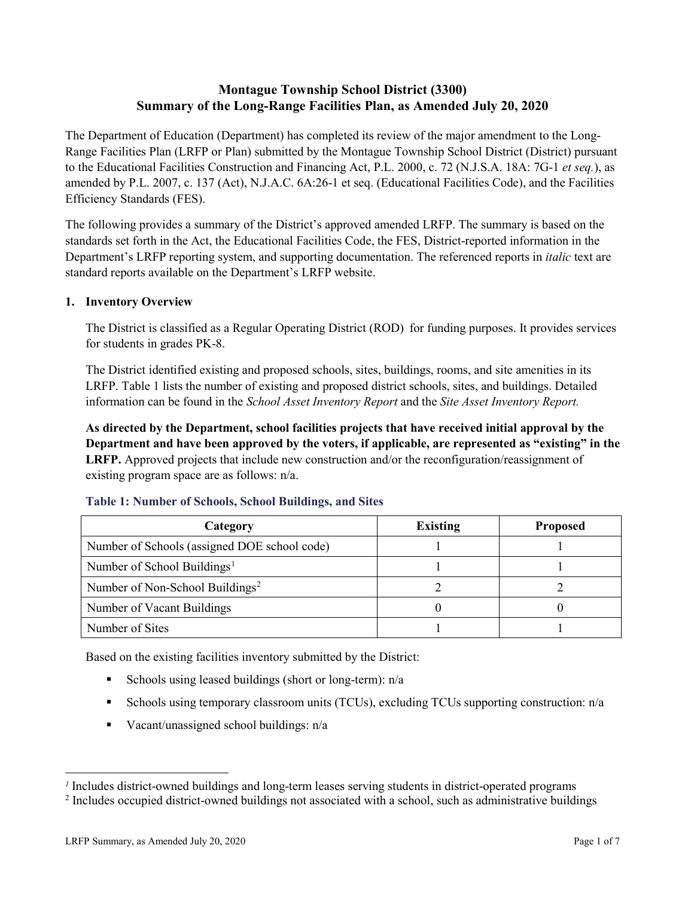# **Montague Township School District (3300) Summary of the Long-Range Facilities Plan, as Amended July 20, 2020**

The Department of Education (Department) has completed its review of the major amendment to the Long-Range Facilities Plan (LRFP or Plan) submitted by the Montague Township School District (District) pursuant to the Educational Facilities Construction and Financing Act, P.L. 2000, c. 72 (N.J.S.A. 18A: 7G-1 *et seq.*), as amended by P.L. 2007, c. 137 (Act), N.J.A.C. 6A:26-1 et seq. (Educational Facilities Code), and the Facilities Efficiency Standards (FES).

The following provides a summary of the District's approved amended LRFP. The summary is based on the standards set forth in the Act, the Educational Facilities Code, the FES, District-reported information in the Department's LRFP reporting system, and supporting documentation. The referenced reports in *italic* text are standard reports available on the Department's LRFP website.

# **1. Inventory Overview**

The District is classified as a Regular Operating District (ROD) for funding purposes. It provides services for students in grades PK-8.

The District identified existing and proposed schools, sites, buildings, rooms, and site amenities in its LRFP. Table 1 lists the number of existing and proposed district schools, sites, and buildings. Detailed information can be found in the *School Asset Inventory Report* and the *Site Asset Inventory Report.*

**As directed by the Department, school facilities projects that have received initial approval by the Department and have been approved by the voters, if applicable, are represented as "existing" in the LRFP.** Approved projects that include new construction and/or the reconfiguration/reassignment of existing program space are as follows: n/a.

| Category                                     | <b>Existing</b> | <b>Proposed</b> |
|----------------------------------------------|-----------------|-----------------|
| Number of Schools (assigned DOE school code) |                 |                 |
| Number of School Buildings <sup>1</sup>      |                 |                 |
| Number of Non-School Buildings <sup>2</sup>  |                 |                 |
| Number of Vacant Buildings                   |                 |                 |
| Number of Sites                              |                 |                 |

#### **Table 1: Number of Schools, School Buildings, and Sites**

Based on the existing facilities inventory submitted by the District:

- Schools using leased buildings (short or long-term):  $n/a$
- Schools using temporary classroom units (TCUs), excluding TCUs supporting construction: n/a
- Vacant/unassigned school buildings:  $n/a$

 $\overline{a}$ 

<span id="page-1-1"></span><span id="page-1-0"></span>*<sup>1</sup>* Includes district-owned buildings and long-term leases serving students in district-operated programs

<sup>&</sup>lt;sup>2</sup> Includes occupied district-owned buildings not associated with a school, such as administrative buildings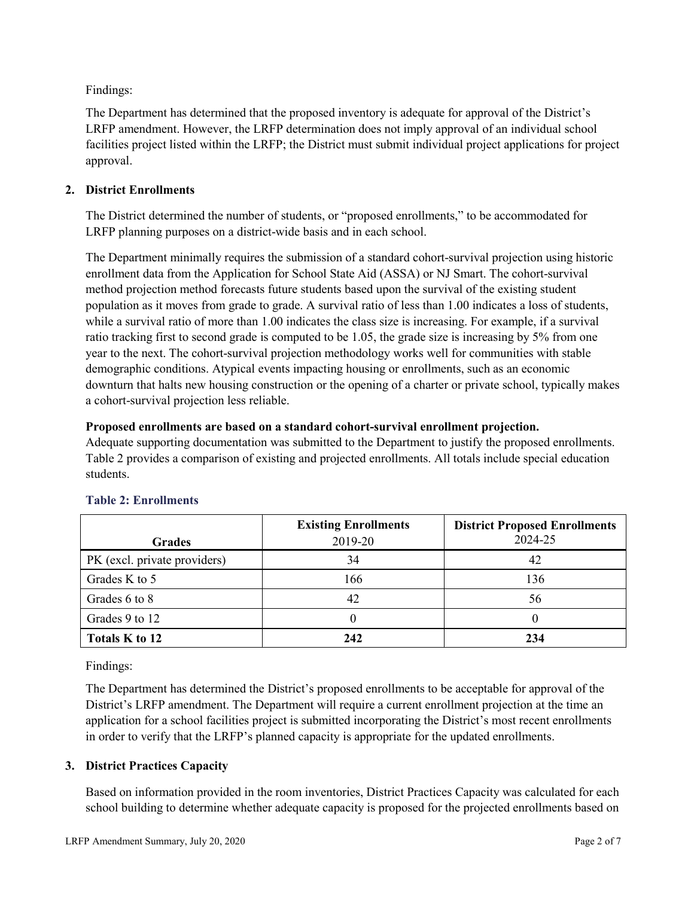Findings:

The Department has determined that the proposed inventory is adequate for approval of the District's LRFP amendment. However, the LRFP determination does not imply approval of an individual school facilities project listed within the LRFP; the District must submit individual project applications for project approval.

# **2. District Enrollments**

The District determined the number of students, or "proposed enrollments," to be accommodated for LRFP planning purposes on a district-wide basis and in each school.

The Department minimally requires the submission of a standard cohort-survival projection using historic enrollment data from the Application for School State Aid (ASSA) or NJ Smart. The cohort-survival method projection method forecasts future students based upon the survival of the existing student population as it moves from grade to grade. A survival ratio of less than 1.00 indicates a loss of students, while a survival ratio of more than 1.00 indicates the class size is increasing. For example, if a survival ratio tracking first to second grade is computed to be 1.05, the grade size is increasing by 5% from one year to the next. The cohort-survival projection methodology works well for communities with stable demographic conditions. Atypical events impacting housing or enrollments, such as an economic downturn that halts new housing construction or the opening of a charter or private school, typically makes a cohort-survival projection less reliable.

### **Proposed enrollments are based on a standard cohort-survival enrollment projection.**

Adequate supporting documentation was submitted to the Department to justify the proposed enrollments. Table 2 provides a comparison of existing and projected enrollments. All totals include special education students.

|                              | <b>Existing Enrollments</b> | <b>District Proposed Enrollments</b> |
|------------------------------|-----------------------------|--------------------------------------|
| <b>Grades</b>                | 2019-20                     | 2024-25                              |
| PK (excl. private providers) | 34                          | 42                                   |
| Grades K to 5                | 166                         | 136                                  |
| Grades 6 to 8                | 42                          | 56                                   |
| Grades 9 to 12               |                             |                                      |
| Totals K to 12               | 242                         | 234                                  |

# **Table 2: Enrollments**

Findings:

The Department has determined the District's proposed enrollments to be acceptable for approval of the District's LRFP amendment. The Department will require a current enrollment projection at the time an application for a school facilities project is submitted incorporating the District's most recent enrollments in order to verify that the LRFP's planned capacity is appropriate for the updated enrollments.

# **3. District Practices Capacity**

Based on information provided in the room inventories, District Practices Capacity was calculated for each school building to determine whether adequate capacity is proposed for the projected enrollments based on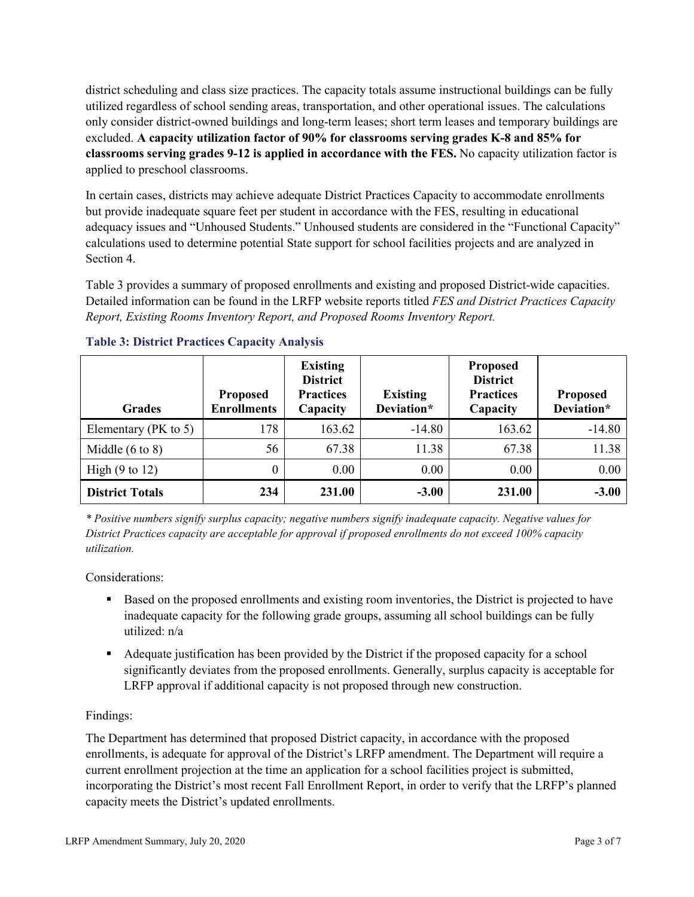district scheduling and class size practices. The capacity totals assume instructional buildings can be fully utilized regardless of school sending areas, transportation, and other operational issues. The calculations only consider district-owned buildings and long-term leases; short term leases and temporary buildings are excluded. **A capacity utilization factor of 90% for classrooms serving grades K-8 and 85% for classrooms serving grades 9-12 is applied in accordance with the FES.** No capacity utilization factor is applied to preschool classrooms.

In certain cases, districts may achieve adequate District Practices Capacity to accommodate enrollments but provide inadequate square feet per student in accordance with the FES, resulting in educational adequacy issues and "Unhoused Students." Unhoused students are considered in the "Functional Capacity" calculations used to determine potential State support for school facilities projects and are analyzed in Section 4.

Table 3 provides a summary of proposed enrollments and existing and proposed District-wide capacities. Detailed information can be found in the LRFP website reports titled *FES and District Practices Capacity Report, Existing Rooms Inventory Report, and Proposed Rooms Inventory Report.*

| <b>Grades</b>              | <b>Proposed</b><br><b>Enrollments</b> | <b>Existing</b><br><b>District</b><br><b>Practices</b><br>Capacity | <b>Existing</b><br>Deviation* | <b>Proposed</b><br><b>District</b><br><b>Practices</b><br>Capacity | <b>Proposed</b><br>Deviation* |
|----------------------------|---------------------------------------|--------------------------------------------------------------------|-------------------------------|--------------------------------------------------------------------|-------------------------------|
| Elementary ( $PK$ to 5)    | 178                                   | 163.62                                                             | $-14.80$                      | 163.62                                                             | $-14.80$                      |
| Middle $(6 \text{ to } 8)$ | 56                                    | 67.38                                                              | 11.38                         | 67.38                                                              | 11.38                         |
| High $(9 \text{ to } 12)$  | 0                                     | 0.00                                                               | 0.00                          | 0.00                                                               | 0.00                          |
| <b>District Totals</b>     | 234                                   | 231.00                                                             | $-3.00$                       | 231.00                                                             | $-3.00$                       |

# **Table 3: District Practices Capacity Analysis**

*\* Positive numbers signify surplus capacity; negative numbers signify inadequate capacity. Negative values for District Practices capacity are acceptable for approval if proposed enrollments do not exceed 100% capacity utilization.*

Considerations:

- Based on the proposed enrollments and existing room inventories, the District is projected to have inadequate capacity for the following grade groups, assuming all school buildings can be fully utilized: n/a
- Adequate justification has been provided by the District if the proposed capacity for a school significantly deviates from the proposed enrollments. Generally, surplus capacity is acceptable for LRFP approval if additional capacity is not proposed through new construction.

# Findings:

The Department has determined that proposed District capacity, in accordance with the proposed enrollments, is adequate for approval of the District's LRFP amendment. The Department will require a current enrollment projection at the time an application for a school facilities project is submitted, incorporating the District's most recent Fall Enrollment Report, in order to verify that the LRFP's planned capacity meets the District's updated enrollments.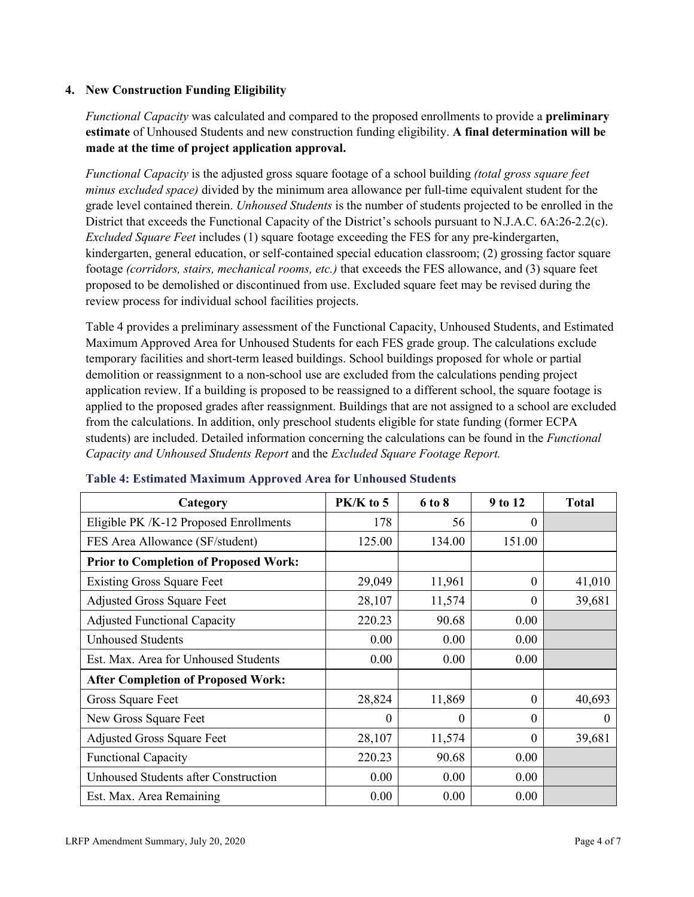## **4. New Construction Funding Eligibility**

*Functional Capacity* was calculated and compared to the proposed enrollments to provide a **preliminary estimate** of Unhoused Students and new construction funding eligibility. **A final determination will be made at the time of project application approval.**

*Functional Capacity* is the adjusted gross square footage of a school building *(total gross square feet minus excluded space)* divided by the minimum area allowance per full-time equivalent student for the grade level contained therein. *Unhoused Students* is the number of students projected to be enrolled in the District that exceeds the Functional Capacity of the District's schools pursuant to N.J.A.C. 6A:26-2.2(c). *Excluded Square Feet* includes (1) square footage exceeding the FES for any pre-kindergarten, kindergarten, general education, or self-contained special education classroom; (2) grossing factor square footage *(corridors, stairs, mechanical rooms, etc.)* that exceeds the FES allowance, and (3) square feet proposed to be demolished or discontinued from use. Excluded square feet may be revised during the review process for individual school facilities projects.

Table 4 provides a preliminary assessment of the Functional Capacity, Unhoused Students, and Estimated Maximum Approved Area for Unhoused Students for each FES grade group. The calculations exclude temporary facilities and short-term leased buildings. School buildings proposed for whole or partial demolition or reassignment to a non-school use are excluded from the calculations pending project application review. If a building is proposed to be reassigned to a different school, the square footage is applied to the proposed grades after reassignment. Buildings that are not assigned to a school are excluded from the calculations. In addition, only preschool students eligible for state funding (former ECPA students) are included. Detailed information concerning the calculations can be found in the *Functional Capacity and Unhoused Students Report* and the *Excluded Square Footage Report.*

| Category                                     | PK/K to 5 | 6 to 8 | 9 to 12  | <b>Total</b> |
|----------------------------------------------|-----------|--------|----------|--------------|
| Eligible PK /K-12 Proposed Enrollments       | 178       | 56     | 0        |              |
| FES Area Allowance (SF/student)              | 125.00    | 134.00 | 151.00   |              |
| <b>Prior to Completion of Proposed Work:</b> |           |        |          |              |
| <b>Existing Gross Square Feet</b>            | 29,049    | 11,961 | $\Omega$ | 41,010       |
| <b>Adjusted Gross Square Feet</b>            | 28,107    | 11,574 | $\theta$ | 39,681       |
| <b>Adjusted Functional Capacity</b>          | 220.23    | 90.68  | 0.00     |              |
| <b>Unhoused Students</b>                     | 0.00      | 0.00   | 0.00     |              |
| Est. Max. Area for Unhoused Students         | 0.00      | 0.00   | 0.00     |              |
| <b>After Completion of Proposed Work:</b>    |           |        |          |              |
| Gross Square Feet                            | 28,824    | 11,869 | $\theta$ | 40,693       |
| New Gross Square Feet                        | $\theta$  | 0      | $\theta$ | $\Omega$     |
| <b>Adjusted Gross Square Feet</b>            | 28,107    | 11,574 | $\Omega$ | 39,681       |
| <b>Functional Capacity</b>                   | 220.23    | 90.68  | 0.00     |              |
| Unhoused Students after Construction         | 0.00      | 0.00   | 0.00     |              |
| Est. Max. Area Remaining                     | 0.00      | 0.00   | 0.00     |              |

#### **Table 4: Estimated Maximum Approved Area for Unhoused Students**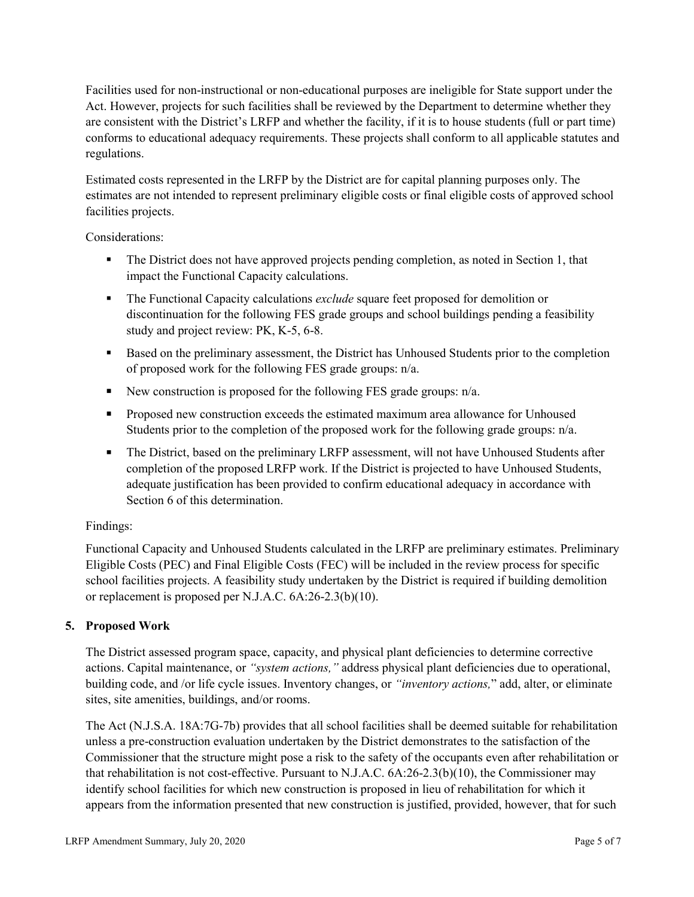Facilities used for non-instructional or non-educational purposes are ineligible for State support under the Act. However, projects for such facilities shall be reviewed by the Department to determine whether they are consistent with the District's LRFP and whether the facility, if it is to house students (full or part time) conforms to educational adequacy requirements. These projects shall conform to all applicable statutes and regulations.

Estimated costs represented in the LRFP by the District are for capital planning purposes only. The estimates are not intended to represent preliminary eligible costs or final eligible costs of approved school facilities projects.

Considerations:

- The District does not have approved projects pending completion, as noted in Section 1, that impact the Functional Capacity calculations.
- **The Functional Capacity calculations** *exclude* square feet proposed for demolition or discontinuation for the following FES grade groups and school buildings pending a feasibility study and project review: PK, K-5, 6-8.
- Based on the preliminary assessment, the District has Unhoused Students prior to the completion of proposed work for the following FES grade groups: n/a.
- New construction is proposed for the following FES grade groups: n/a.
- Proposed new construction exceeds the estimated maximum area allowance for Unhoused Students prior to the completion of the proposed work for the following grade groups: n/a.
- The District, based on the preliminary LRFP assessment, will not have Unhoused Students after completion of the proposed LRFP work. If the District is projected to have Unhoused Students, adequate justification has been provided to confirm educational adequacy in accordance with Section 6 of this determination.

# Findings:

Functional Capacity and Unhoused Students calculated in the LRFP are preliminary estimates. Preliminary Eligible Costs (PEC) and Final Eligible Costs (FEC) will be included in the review process for specific school facilities projects. A feasibility study undertaken by the District is required if building demolition or replacement is proposed per N.J.A.C. 6A:26-2.3(b)(10).

# **5. Proposed Work**

The District assessed program space, capacity, and physical plant deficiencies to determine corrective actions. Capital maintenance, or *"system actions,"* address physical plant deficiencies due to operational, building code, and /or life cycle issues. Inventory changes, or *"inventory actions,*" add, alter, or eliminate sites, site amenities, buildings, and/or rooms.

The Act (N.J.S.A. 18A:7G-7b) provides that all school facilities shall be deemed suitable for rehabilitation unless a pre-construction evaluation undertaken by the District demonstrates to the satisfaction of the Commissioner that the structure might pose a risk to the safety of the occupants even after rehabilitation or that rehabilitation is not cost-effective. Pursuant to N.J.A.C. 6A:26-2.3(b)(10), the Commissioner may identify school facilities for which new construction is proposed in lieu of rehabilitation for which it appears from the information presented that new construction is justified, provided, however, that for such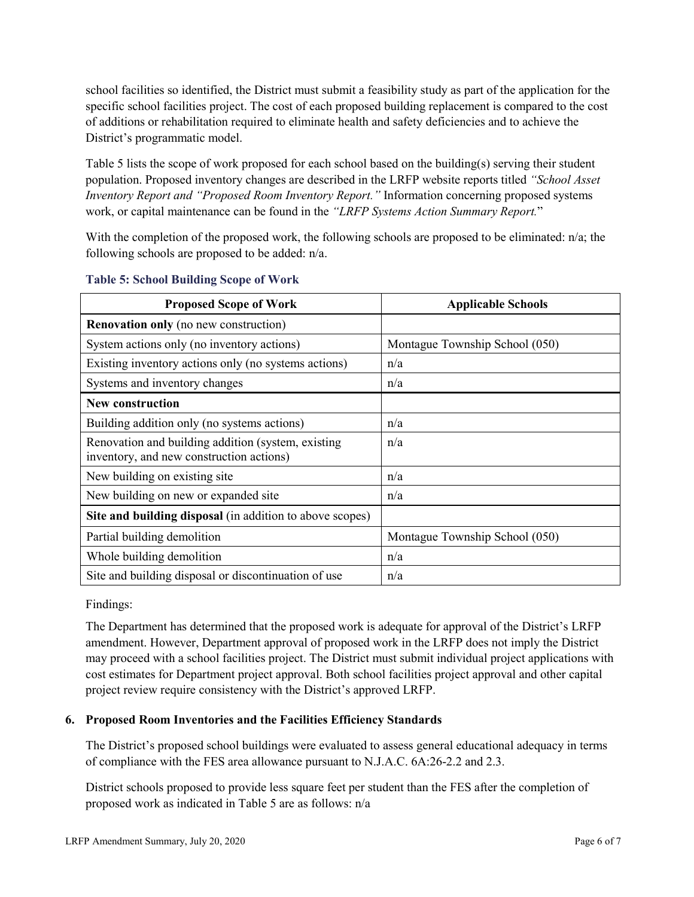school facilities so identified, the District must submit a feasibility study as part of the application for the specific school facilities project. The cost of each proposed building replacement is compared to the cost of additions or rehabilitation required to eliminate health and safety deficiencies and to achieve the District's programmatic model.

Table 5 lists the scope of work proposed for each school based on the building(s) serving their student population. Proposed inventory changes are described in the LRFP website reports titled *"School Asset Inventory Report and "Proposed Room Inventory Report."* Information concerning proposed systems work, or capital maintenance can be found in the *"LRFP Systems Action Summary Report.*"

With the completion of the proposed work, the following schools are proposed to be eliminated: n/a; the following schools are proposed to be added: n/a.

| <b>Proposed Scope of Work</b>                                                                  | <b>Applicable Schools</b>      |
|------------------------------------------------------------------------------------------------|--------------------------------|
| <b>Renovation only</b> (no new construction)                                                   |                                |
| System actions only (no inventory actions)                                                     | Montague Township School (050) |
| Existing inventory actions only (no systems actions)                                           | n/a                            |
| Systems and inventory changes                                                                  | n/a                            |
| <b>New construction</b>                                                                        |                                |
| Building addition only (no systems actions)                                                    | n/a                            |
| Renovation and building addition (system, existing<br>inventory, and new construction actions) | n/a                            |
| New building on existing site                                                                  | n/a                            |
| New building on new or expanded site                                                           | n/a                            |
| Site and building disposal (in addition to above scopes)                                       |                                |
| Partial building demolition                                                                    | Montague Township School (050) |
| Whole building demolition                                                                      | n/a                            |
| Site and building disposal or discontinuation of use                                           | n/a                            |

### **Table 5: School Building Scope of Work**

Findings:

The Department has determined that the proposed work is adequate for approval of the District's LRFP amendment. However, Department approval of proposed work in the LRFP does not imply the District may proceed with a school facilities project. The District must submit individual project applications with cost estimates for Department project approval. Both school facilities project approval and other capital project review require consistency with the District's approved LRFP.

# **6. Proposed Room Inventories and the Facilities Efficiency Standards**

The District's proposed school buildings were evaluated to assess general educational adequacy in terms of compliance with the FES area allowance pursuant to N.J.A.C. 6A:26-2.2 and 2.3.

District schools proposed to provide less square feet per student than the FES after the completion of proposed work as indicated in Table 5 are as follows: n/a